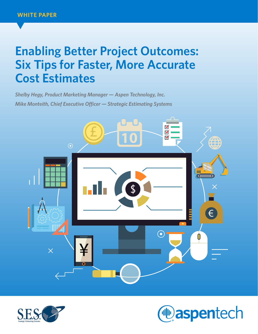# **Enabling Better Project Outcomes: Six Tips for Faster, More Accurate Cost Estimates**

*Shelby Hegy, Product Marketing Manager — Aspen Technology, Inc. Mike Monteith, Chief Executive Officer — Strategic Estimating Systems*





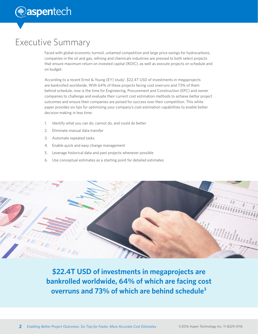# Executive Summary

Faced with global economic turmoil, untamed competition and large price swings for hydrocarbons, companies in the oil and gas, refining and chemicals industries are pressed to both select projects that ensure maximum return on invested capital (ROIC), as well as execute projects on schedule and on budget.

According to a recent Ernst & Young (EY) study<sup>1</sup>, \$22.4T USD of investments in megaprojects are bankrolled worldwide. With 64% of these projects facing cost overruns and 73% of them behind schedule, now is the time for Engineering, Procurement and Construction (EPC) and owner companies to challenge and evaluate their current cost estimation methods to achieve better project outcomes and ensure their companies are poised for success over their competition. This white paper provides six tips for optimizing your company's cost estimation capabilities to enable better decision making in less time:

- 1. Identify what you can do, cannot do, and could do better
- 2. Eliminate manual data transfer
- 3. Automate repeated tasks
- 4. Enable quick and easy change management
- 5. Leverage historical data and past projects whenever possible
- 6. Use conceptual estimates as a starting point for detailed estimates



**\$22.4T USD of investments in megaprojects are bankrolled worldwide, 64% of which are facing cost overruns and 73% of which are behind schedule**<sup>1</sup>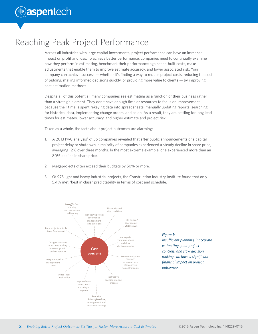### Reaching Peak Project Performance

Across all industries with large capital investments, project performance can have an immense impact on profit and loss. To achieve better performance, companies need to continually examine how they perform in estimating, benchmark their performance against as-built costs, make adjustments that enable them to improve estimate accuracy, and lower associated risk. Your company can achieve success — whether it's finding a way to reduce project costs, reducing the cost of bidding, making informed decisions quickly, or providing more value to clients — by improving cost estimation methods.

Despite all of this potential, many companies see estimating as a function of their business rather than a strategic element. They don't have enough time or resources to focus on improvement, because their time is spent rekeying data into spreadsheets, manually updating reports, searching for historical data, implementing change orders, and so on. As a result, they are settling for long lead times for estimates, lower accuracy, and higher estimate and project risk.

Taken as a whole, the facts about project outcomes are alarming:

- 1. A 2013 PwC analysis<sup>2</sup> of 36 companies revealed that after public announcements of a capital project delay or shutdown, a majority of companies experienced a steady decline in share price, averaging 12% over three months. In the most extreme example, one experienced more than an 80% decline in share price.
- 2. Megaprojects often exceed their budgets by 50% or more.
- 3. Of 975 light and heavy industrial projects, the Construction Industry Institute found that only 5.4% met "best in class" predictability in terms of cost and schedule.



#### *Figure 1:*

*Insufficient planning, inaccurate estimating, poor project controls, and slow decision making can have a significant financial impact on project outcomes2 .*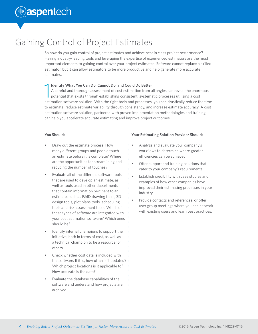# Gaining Control of Project Estimates

So how do you gain control of project estimates and achieve best in class project performance? Having industry-leading tools and leveraging the expertise of experienced estimators are the most important elements to gaining control over your project estimates. Software cannot replace a skilled estimator, but it can allow estimators to be more productive and help generate more accurate estimates.

### **Identify What You Can Do, Cannot Do, and Could Do Better**

1 A careful and thorough assessment of cost estimation from all angles can reveal the enormous potential that exists through establishing consistent, systematic processes utilizing a cost estimation software solution. With the right tools and processes, you can drastically reduce the time to estimate, reduce estimate variability through consistency, and increase estimate accuracy. A cost estimation software solution, partnered with proven implementation methodologies and training, can help you accelerate accurate estimating and improve project outcomes.

### **You Should:**

- Draw out the estimate process. How many different groups and people touch an estimate before it is complete? Where are the opportunities for streamlining and reducing the number of touches?
- Evaluate all of the different software tools that are used to develop an estimate, as well as tools used in other departments that contain information pertinent to an estimate, such as P&ID drawing tools, 3D design tools, plot plans tools, scheduling tools and risk assessment tools. Which of these types of software are integrated with your cost estimation software? Which ones should be?
- Identify internal champions to support the initiative, both in terms of cost, as well as a technical champion to be a resource for others.
- Check whether cost data is included with the software. If it is, how often is it updated? Which project locations is it applicable to? How accurate is the data?
- Evaluate the database capabilities of the software and understand how projects are archived.

### **Your Estimating Solution Provider Should:**

- Analyze and evaluate your company's workflows to determine where greater efficiencies can be achieved.
- Offer support and training solutions that cater to your company's requirements.
- Establish credibility with case studies and examples of how other companies have improved their estimating processes in your industry.
- Provide contacts and references, or offer user group meetings where you can network with existing users and learn best practices.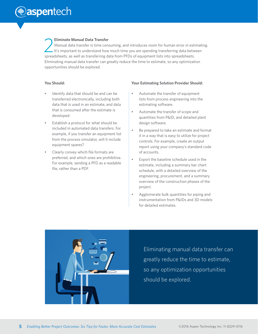# **The aspentech**

#### **Eliminate Manual Data Transfer**

**2** Eliminate Manual Data Transfer<br>It's important to understand how much time you are spending transferring data betw<br>spreadsheets, as well as transferring data from PFDs of equipment lists into spreadsheets. Manual data transfer is time consuming, and introduces room for human error in estimating. It's important to understand how much time you are spending transferring data between Eliminating manual data transfer can greatly reduce the time to estimate, so any optimization opportunities should be explored.

### **You Should:**

- Identify data that should be and can be transferred electronically, including both data that is used in an estimate, and data that is consumed after the estimate is developed.
- Establish a protocol for what should be included in automated data transfers. For example, if you transfer an equipment list from the process simulator, will it include equipment spares?
- Clearly convey which file formats are preferred, and which ones are prohibitive. For example, sending a PFD as a readable file, rather than a PDF.

#### **Your Estimating Solution Provider Should:**

- Automate the transfer of equipment lists from process engineering into the estimating software.
- Automate the transfer of scope and quantities from P&ID, and detailed plant design software.
- Be prepared to take an estimate and format it in a way that is easy to utilize for project controls. For example, create an output report using your company's standard code of accounts.
- Export the baseline schedule used in the estimate, including a summary bar chart schedule, with a detailed overview of the engineering, procurement, and a summary overview of the construction phases of the project.
- Agglomerate bulk quantities for piping and instrumentation from P&IDs and 3D models for detailed estimates.



Eliminating manual data transfer can greatly reduce the time to estimate, so any optimization opportunities should be explored.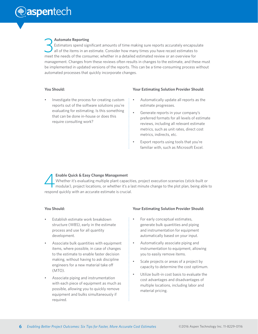# *<u></u>* aspentech

#### **Automate Reporting**

3 Estimators spend significant amounts of time making sure reports accurately encapsulate all of the items in an estimate. Consider how many times you have recast estimates to meet the needs of the consumer, whether in a detailed estimated review or an overview for management. Changes from these reviews often results in changes to the estimate, and these must be implemented in updated versions of the reports. This can be a time-consuming process without automated processes that quickly incorporate changes.

#### **You Should:**

• Investigate the process for creating custom reports out of the software solutions you're evaluating for estimating. Is this something that can be done in-house or does this require consulting work?

#### **Your Estimating Solution Provider Should:**

- Automatically update all reports as the estimate progresses.
- Generate reports in your company's preferred formats for all levels of estimate reviews, including all relevant estimate metrics, such as unit rates, direct cost metrics, indirects, etc.
- Export reports using tools that you're familiar with, such as Microsoft Excel.

**Enable Quick & Easy Change Management**<br>
Whether it's evaluating multiple plant capacities, project execution scenarios (stick-built or<br>
modular), project locations, or whether it's a last minute change to the plot plan, b Whether it's evaluating multiple plant capacities, project execution scenarios (stick-built or respond quickly with an accurate estimate is crucial.

#### **You Should:**

- Establish estimate work breakdown structure (WBS), early in the estimate process and use for all quantity development.
- Associate bulk quantities with equipment items, where possible, in case of changes to the estimate to enable faster decision making, without having to ask discipline engineers for a new material take off (MTO).
- Associate piping and instrumentation with each piece of equipment as much as possible, allowing you to quickly remove equipment and bulks simultaneously if required.

#### **Your Estimating Solution Provider Should:**

- For early conceptual estimates, generate bulk quantities and piping and instrumentation for equipment automatically based on your input.
	- Automatically associate piping and instrumentation to equipment, allowing you to easily remove items.
- Scale projects or areas of a project by capacity to determine the cost optimum.
- Utilize built-in cost basis to evaluate the cost advantages and disadvantages of multiple locations, including labor and material pricing.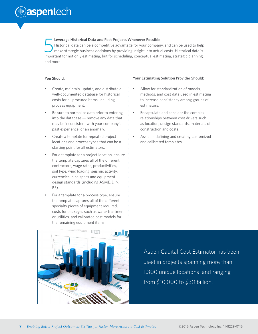(**· aspentech** 

#### **Leverage Historical Data and Past Projects Whenever Possible**

5 Historical data can be a competitive advantage for your company, and can be used to help make strategic business decisions by providing insight into actual costs. Historical data is important for not only estimating, but for scheduling, conceptual estimating, strategic planning, and more.

#### **You Should:**

- Create, maintain, update, and distribute a well-documented database for historical costs for all procured items, including process equipment.
- Be sure to normalize data prior to entering into the database — remove any data that may be inconsistent with your company's past experience, or an anomaly.
- Create a template for repeated project locations and process types that can be a starting point for all estimators.
- For a template for a project location, ensure the template captures all of the different contractors, wage rates, productivities, soil type, wind loading, seismic activity, currencies, pipe specs and equipment design standards (including ASME, DIN, BS).
- For a template for a process type, ensure the template captures all of the different specialty pieces of equipment required, costs for packages such as water treatment or utilities, and calibrated cost models for the remaining equipment items.

#### **Your Estimating Solution Provider Should:**

- Allow for standardization of models, methods, and cost data used in estimating to increase consistency among groups of estimators.
- Encapsulate and consider the complex relationships between cost drivers such as location, design standards, materials of construction and costs.
- Assist in defining and creating customized and calibrated templates.



Aspen Capital Cost Estimator has been used in projects spanning more than 1,300 unique locations and ranging from \$10,000 to \$30 billion.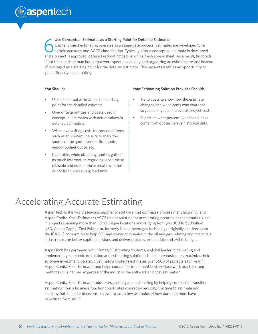# *<u>e</u>* aspentech

Use Conceptual Estimates as a Starting Point for Detailed Estimates<br>
Capital project estimating operates as a stage-gate process. Estimates are developed for a<br>
certain accuracy and AACE classification. Typically after a c Capital project estimating operates as a stage-gate process. Estimates are developed for a and a project is approved, detailed estimating begins with a fresh spreadsheet. As a result, hundreds if not thousands of man hours that were spent developing and organizing an estimate are lost instead of leveraged as a starting point for the detailed estimate. This presents itself as an opportunity to gain efficiency in estimating.

### **You Should:**

- Use conceptual estimate as the starting point for the detailed estimate.
- Overwrite quantities and costs used in conceptual estimates with actual values in detailed estimating.
- When overwriting costs for procured items, such as equipment, be sure to mark the source of the quote: vendor firm quote, vendor budget quote, etc.
- If possible, when obtaining quotes, gather as much information regarding lead time as possible and note in the estimate whether or not it requires a long lead time.

#### **Your Estimating Solution Provider Should:**

- Trend costs to show how the estimate changed and what items contribute the largest changes in the overall project cost.
- Report on what percentage of costs have come from quotes versus historical data.

# Accelerating Accurate Estimating

AspenTech is the world's leading supplier of software that optimizes process manufacturing, and Aspen Capital Cost Estimator (ACCE) is our solution for accelerating accurate cost estimates. Used in projects spanning more than 1,300 unique locations and ranging from \$10,000 to \$30 billion USD, Aspen Capital Cost Estimator, formerly Kbase, leverages technology originally acquired from the ICARUS corporation to help EPC and owner companies in the oil and gas, refining and chemicals industries make better capital decisions and deliver projects on schedule and within budget.

AspenTech has partnered with Strategic Estimating Systems, a global leader in delivering and implementing economic evaluation and estimating solutions, to help our customers maximize their software investment. Strategic Estimating Systems estimates over \$50B of projects each year in Aspen Capital Cost Estimator and helps companies implement best-in-class work practices and methods utilizing their expertise of the industry, the software and cost estimation.

Aspen Capital Cost Estimator addresses challenges in estimating by helping companies transition estimating from a business function to a strategic asset by reducing the time to estimate and enabling better, faster decisions. Below are just a few examples of how our customers have benefitted from ACCE.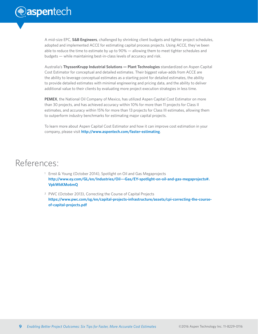A mid-size EPC, **S&B Engineers**, challenged by shrinking client budgets and tighter project schedules, adopted and implemented ACCE for estimating capital process projects. Using ACCE, they've been able to reduce the time to estimate by up to 90% — allowing them to meet tighter schedules and budgets — while maintaining best-in-class levels of accuracy and risk.

Australia's **ThyssenKrupp Industrial Solutions — Plant Technologies** standardized on Aspen Capital Cost Estimator for conceptual and detailed estimates. Their biggest value-adds from ACCE are the ability to leverage conceptual estimates as a starting point for detailed estimates, the ability to provide detailed estimates with minimal engineering and pricing data, and the ability to deliver additional value to their clients by evaluating more project execution strategies in less time.

**PEMEX**, the National Oil Company of Mexico, has utilized Aspen Capital Cost Estimator on more than 30 projects, and has achieved accuracy within 10% for more than 11 projects for Class II estimates, and accuracy within 15% for more than 13 projects for Class III estimates, allowing them to outperform industry benchmarks for estimating major capital projects.

To learn more about Aspen Capital Cost Estimator and how it can improve cost estimation in your company, please visit **http://www.aspentech.com/faster-estimating**.

### References:

- <sup>1</sup> Ernst & Young (October 2014), Spotlight on Oil and Gas Megaprojects **[http://www.ey.com/GL/en/Industries/Oil---Gas/EY-spotlight-on-oil-and-gas-megaprojects#.](http://www.ey.com/GL/en/Industries/Oil---Gas/EY-spotlight-on-oil-and-gas-megaprojects#.VpkWkKMo6mQ) [VpkWkKMo6mQ](http://www.ey.com/GL/en/Industries/Oil---Gas/EY-spotlight-on-oil-and-gas-megaprojects#.VpkWkKMo6mQ)**
- <sup>2</sup> PWC (October 2013), Correcting the Course of Capital Projects **[https://www.pwc.com/sg/en/capital-projects-infrastructure/assets/cpi-correcting-the-course](https://www.pwc.com/sg/en/capital-projects-infrastructure/assets/cpi-correcting-the-course-of-capital-projects.pdf )[of-capital-projects.pdf](https://www.pwc.com/sg/en/capital-projects-infrastructure/assets/cpi-correcting-the-course-of-capital-projects.pdf )**